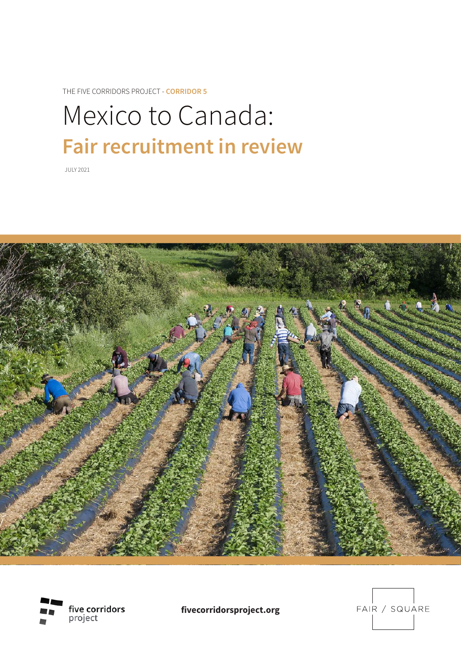THE FIVE CORRIDORS PROJECT - **CORRIDOR 5**

# Mexico to Canada: **Fair recruitment in review**

JULY 2021





**fivecorridorsproject.org**

FAIR / SQUARE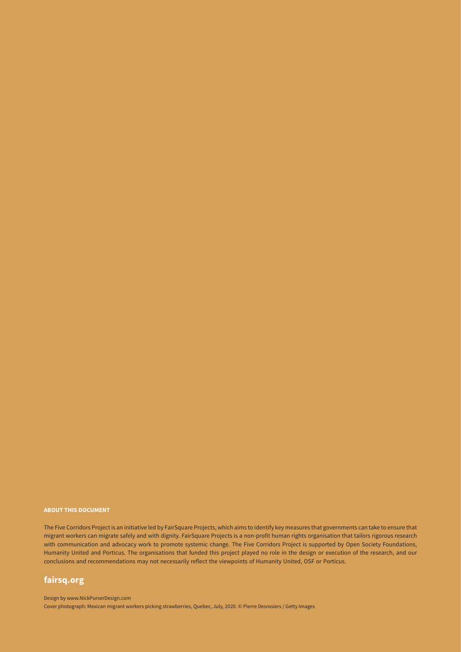#### **ABOUT THIS DOCUMENT**

The Five Corridors Project is an initiative led by FairSquare Projects, which aims to identify key measures that governments can take to ensure that migrant workers can migrate safely and with dignity. FairSquare Projects is a non-profit human rights organisation that tailors rigorous research with communication and advocacy work to promote systemic change. The Five Corridors Project is supported by Open Society Foundations, Humanity United and Porticus. The organisations that funded this project played no role in the design or execution of the research, and our conclusions and recommendations may not necessarily reflect the viewpoints of Humanity United, OSF or Porticus.

#### **[fairsq.org](https://fairsq.org)**

Design by www.NickPurserDesign.com Cover photograph: Mexican migrant workers picking strawberries, Quebec, July, 2020. © Pierre Desrosiers / Getty Images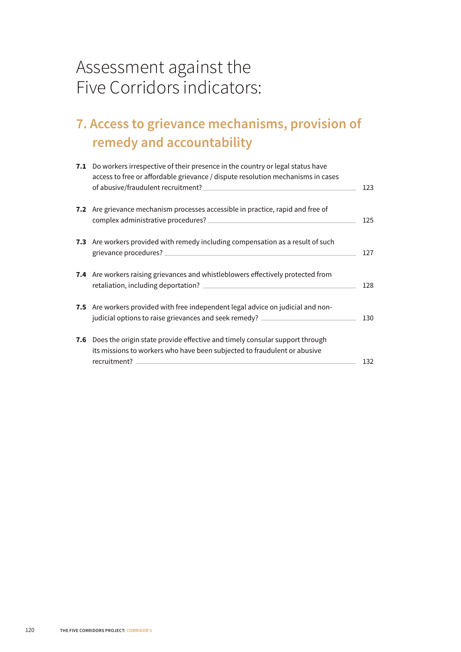### Assessment against the Five Corridors indicators:

### **[7. Access to grievance mechanisms, provision of](#page-3-0) [remedy and accountability](#page-3-0)**

| 7.1 Do workers irrespective of their presence in the country or legal status have<br>access to free or affordable grievance / dispute resolution mechanisms in cases                                                                              | 123 |
|---------------------------------------------------------------------------------------------------------------------------------------------------------------------------------------------------------------------------------------------------|-----|
| 7.2 Are grievance mechanism processes accessible in practice, rapid and free of                                                                                                                                                                   | 125 |
| 7.3 Are workers provided with remedy including compensation as a result of such                                                                                                                                                                   | 127 |
| 7.4 Are workers raising grievances and whistleblowers effectively protected from                                                                                                                                                                  | 128 |
| 7.5 Are workers provided with free independent legal advice on judicial and non-<br>judicial options to raise grievances and seek remedy? __________________________                                                                              | 130 |
| 7.6 Does the origin state provide effective and timely consular support through<br>its missions to workers who have been subjected to fraudulent or abusive<br><u> 1989 - Andrea Station Barbara, amerikan personal (h. 1989)</u><br>recruitment? | 132 |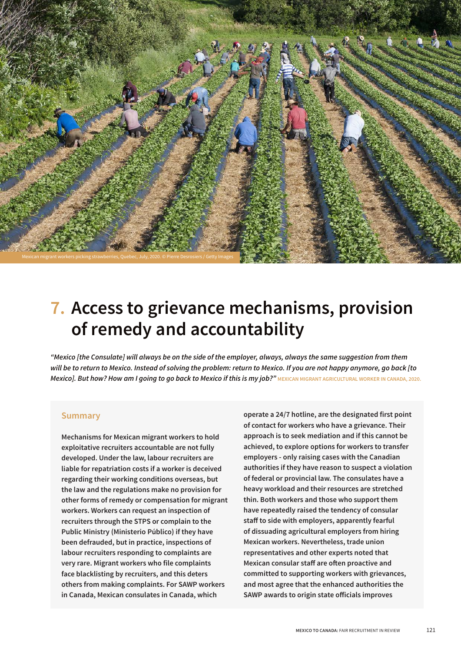<span id="page-3-0"></span>

## **7. Access to grievance mechanisms, provision of remedy and accountability**

*"Mexico [the Consulate] will always be on the side of the employer, always, always the same suggestion from them will be to return to Mexico. Instead of solving the problem: return to Mexico. If you are not happy anymore, go back [to*  **Mexico]. But how? How am I going to go back to Mexico if this is my job?"** MEXICAN MIGRANT AGRICULTURAL WORKER IN CANADA, 2020.

#### **Summary**

**Mechanisms for Mexican migrant workers to hold exploitative recruiters accountable are not fully developed. Under the law, labour recruiters are liable for repatriation costs if a worker is deceived regarding their working conditions overseas, but the law and the regulations make no provision for other forms of remedy or compensation for migrant workers. Workers can request an inspection of recruiters through the STPS or complain to the Public Ministry (Ministerio Público) if they have been defrauded, but in practice, inspections of labour recruiters responding to complaints are very rare. Migrant workers who file complaints face blacklisting by recruiters, and this deters others from making complaints. For SAWP workers in Canada, Mexican consulates in Canada, which** 

**operate a 24/7 hotline, are the designated first point of contact for workers who have a grievance. Their approach is to seek mediation and if this cannot be achieved, to explore options for workers to transfer employers - only raising cases with the Canadian authorities if they have reason to suspect a violation of federal or provincial law. The consulates have a heavy workload and their resources are stretched thin. Both workers and those who support them have repeatedly raised the tendency of consular staf to side with employers, apparently fearful of dissuading agricultural employers from hiring Mexican workers. Nevertheless, trade union representatives and other experts noted that Mexican consular staf are ofen proactive and committed to supporting workers with grievances, and most agree that the enhanced authorities the SAWP awards to origin state oficials improves**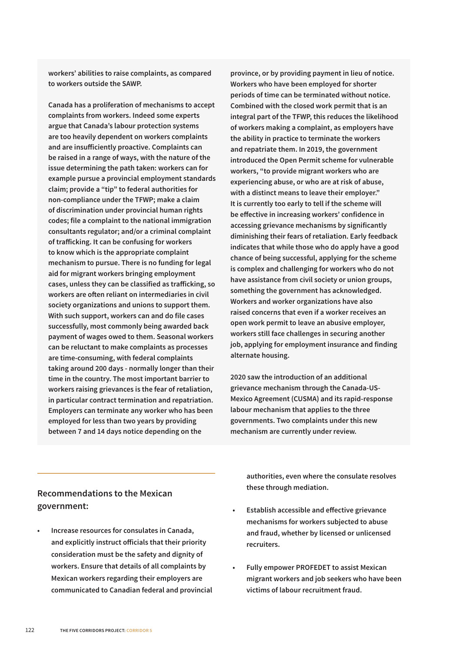**workers' abilities to raise complaints, as compared to workers outside the SAWP.**

**Canada has a proliferation of mechanisms to accept complaints from workers. Indeed some experts argue that Canada's labour protection systems are too heavily dependent on workers complaints and are insuficiently proactive. Complaints can be raised in a range of ways, with the nature of the issue determining the path taken: workers can for example pursue a provincial employment standards claim; provide a "tip" to federal authorities for non-compliance under the TFWP; make a claim of discrimination under provincial human rights codes; file a complaint to the national immigration consultants regulator; and/or a criminal complaint of traficking. It can be confusing for workers to know which is the appropriate complaint mechanism to pursue. There is no funding for legal aid for migrant workers bringing employment cases, unless they can be classified as traficking, so workers are ofen reliant on intermediaries in civil society organizations and unions to support them. With such support, workers can and do file cases successfully, most commonly being awarded back payment of wages owed to them. Seasonal workers can be reluctant to make complaints as processes are time-consuming, with federal complaints taking around 200 days - normally longer than their time in the country. The most important barrier to workers raising grievances is the fear of retaliation, in particular contract termination and repatriation. Employers can terminate any worker who has been employed for less than two years by providing between 7 and 14 days notice depending on the** 

**province, or by providing payment in lieu of notice. Workers who have been employed for shorter periods of time can be terminated without notice. Combined with the closed work permit that is an integral part of the TFWP, this reduces the likelihood of workers making a complaint, as employers have the ability in practice to terminate the workers and repatriate them. In 2019, the government introduced the Open Permit scheme for vulnerable workers, "to provide migrant workers who are experiencing abuse, or who are at risk of abuse, with a distinct means to leave their employer." It is currently too early to tell if the scheme will be efective in increasing workers' confidence in accessing grievance mechanisms by significantly diminishing their fears of retaliation. Early feedback indicates that while those who do apply have a good chance of being successful, applying for the scheme is complex and challenging for workers who do not have assistance from civil society or union groups, something the government has acknowledged. Workers and worker organizations have also raised concerns that even if a worker receives an open work permit to leave an abusive employer, workers still face challenges in securing another job, applying for employment insurance and finding alternate housing.**

**2020 saw the introduction of an additional grievance mechanism through the Canada-US-Mexico Agreement (CUSMA) and its rapid-response labour mechanism that applies to the three governments. Two complaints under this new mechanism are currently under review.**

#### **Recommendations to the Mexican government:**

**• Increase resources for consulates in Canada, and explicitly instruct oficials that their priority consideration must be the safety and dignity of workers. Ensure that details of all complaints by Mexican workers regarding their employers are communicated to Canadian federal and provincial** 

**authorities, even where the consulate resolves these through mediation.**

- **• Establish accessible and efective grievance mechanisms for workers subjected to abuse and fraud, whether by licensed or unlicensed recruiters.**
- **• Fully empower PROFEDET to assist Mexican migrant workers and job seekers who have been victims of labour recruitment fraud.**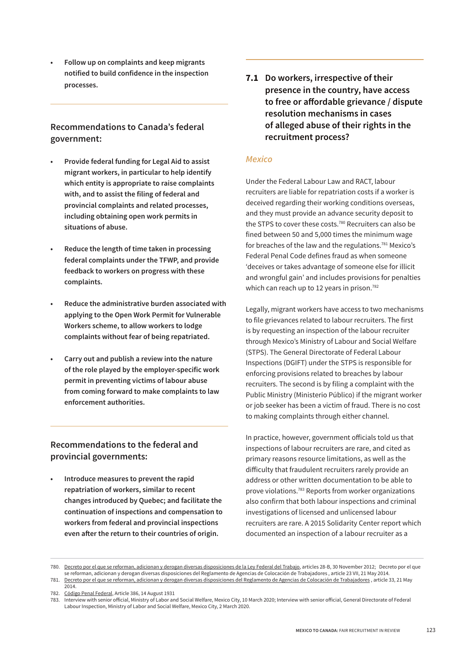<span id="page-5-0"></span>**• Follow up on complaints and keep migrants notified to build confidence in the inspection processes.**

#### **Recommendations to Canada's federal government:**

- **• Provide federal funding for Legal Aid to assist migrant workers, in particular to help identify which entity is appropriate to raise complaints with, and to assist the filing of federal and provincial complaints and related processes, including obtaining open work permits in situations of abuse.**
- **• Reduce the length of time taken in processing federal complaints under the TFWP, and provide feedback to workers on progress with these complaints.**
- **• Reduce the administrative burden associated with applying to the Open Work Permit for Vulnerable Workers scheme, to allow workers to lodge complaints without fear of being repatriated.**
- **• Carry out and publish a review into the nature of the role played by the employer-specific work permit in preventing victims of labour abuse from coming forward to make complaints to law enforcement authorities.**

#### **Recommendations to the federal and provincial governments:**

**• Introduce measures to prevent the rapid repatriation of workers, similar to recent changes introduced by Quebec; and facilitate the continuation of inspections and compensation to workers from federal and provincial inspections even afer the return to their countries of origin.**

**7.1 Do workers, irrespective of their presence in the country, have access to free or afordable grievance / dispute resolution mechanisms in cases of alleged abuse of their rights in the recruitment process?**

#### *Mexico*

Under the Federal Labour Law and RACT, labour recruiters are liable for repatriation costs if a worker is deceived regarding their working conditions overseas, and they must provide an advance security deposit to the STPS to cover these costs.<sup>780</sup> Recruiters can also be fined between 50 and 5,000 times the minimum wage for breaches of the law and the regulations.<sup>781</sup> Mexico's Federal Penal Code defines fraud as when someone 'deceives or takes advantage of someone else for illicit and wrongful gain' and includes provisions for penalties which can reach up to 12 years in prison.<sup>782</sup>

Legally, migrant workers have access to two mechanisms to file grievances related to labour recruiters. The first is by requesting an inspection of the labour recruiter through Mexico's Ministry of Labour and Social Welfare (STPS). The General Directorate of Federal Labour Inspections (DGIFT) under the STPS is responsible for enforcing provisions related to breaches by labour recruiters. The second is by filing a complaint with the Public Ministry (Ministerio Público) if the migrant worker or job seeker has been a victim of fraud. There is no cost to making complaints through either channel.

In practice, however, government oficials told us that inspections of labour recruiters are rare, and cited as primary reasons resource limitations, as well as the dificulty that fraudulent recruiters rarely provide an address or other written documentation to be able to prove violations.783 Reports from worker organizations also confirm that both labour inspections and criminal investigations of licensed and unlicensed labour recruiters are rare. A 2015 Solidarity Center report which documented an inspection of a labour recruiter as a

<sup>780.</sup> [Decreto por el que se reforman, adicionan y derogan diversas disposiciones de la Ley Federal del Trabajo](http://www.diputados.gob.mx/LeyesBiblio/ref/lft/LFT_ref26_30nov12.pdf), articles 28-B, 30 November 2012; Decreto por el que se reforman, adicionan y derogan diversas disposiciones del Reglamento de Agencias de Colocación de Trabajadores , article 23 VII, 21 May 2014. 781. [Decreto por el que se reforman, adicionan y derogan diversas disposiciones del Reglamento de Agencias de Colocación de Trabajadores](https://www.dof.gob.mx/nota_detalle.php?codigo=5345536&fecha=21/05/2014) , article 33, 21 May 2014.

<sup>782.</sup> [Código Penal Federal,](https://docs.mexico.justia.com/federales/codigo-penal-federal.pdf) Article 386, 14 August 1931<br>783. Interview with senior official, Ministry of Labor an

<sup>783.</sup> Interview with senior oficial, Ministry of Labor and Social Welfare, Mexico City, 10 March 2020; Interview with senior oficial, General Directorate of Federal Labour Inspection, Ministry of Labor and Social Welfare, Mexico City, 2 March 2020.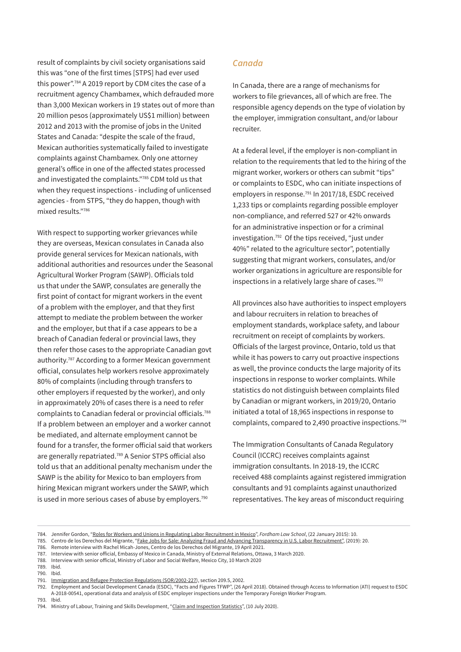result of complaints by civil society organisations said this was "one of the first times [STPS] had ever used this power".<sup>784</sup> A 2019 report by CDM cites the case of a recruitment agency Chambamex, which defrauded more than 3,000 Mexican workers in 19 states out of more than 20 million pesos (approximately US\$1 million) between 2012 and 2013 with the promise of jobs in the United States and Canada: "despite the scale of the fraud, Mexican authorities systematically failed to investigate complaints against Chambamex. Only one attorney general's ofice in one of the afected states processed and investigated the complaints."785 CDM told us that when they request inspections - including of unlicensed agencies - from STPS, "they do happen, though with mixed results."786

With respect to supporting worker grievances while they are overseas, Mexican consulates in Canada also provide general services for Mexican nationals, with additional authorities and resources under the Seasonal Agricultural Worker Program (SAWP). Oficials told us that under the SAWP, consulates are generally the first point of contact for migrant workers in the event of a problem with the employer, and that they first attempt to mediate the problem between the worker and the employer, but that if a case appears to be a breach of Canadian federal or provincial laws, they then refer those cases to the appropriate Canadian govt authority.787 According to a former Mexican government oficial, consulates help workers resolve approximately 80% of complaints (including through transfers to other employers if requested by the worker), and only in approximately 20% of cases there is a need to refer complaints to Canadian federal or provincial oficials.788 If a problem between an employer and a worker cannot be mediated, and alternate employment cannot be found for a transfer, the former oficial said that workers are generally repatriated.789 A Senior STPS oficial also told us that an additional penalty mechanism under the SAWP is the ability for Mexico to ban employers from hiring Mexican migrant workers under the SAWP, which is used in more serious cases of abuse by employers.<sup>790</sup>

#### *Canada*

In Canada, there are a range of mechanisms for workers to file grievances, all of which are free. The responsible agency depends on the type of violation by the employer, immigration consultant, and/or labour recruiter.

At a federal level, if the employer is non-compliant in relation to the requirements that led to the hiring of the migrant worker, workers or others can submit "tips" or complaints to ESDC, who can initiate inspections of employers in response.791 In 2017/18, ESDC received 1,233 tips or complaints regarding possible employer non-compliance, and referred 527 or 42% onwards for an administrative inspection or for a criminal investigation.792 Of the tips received, "just under 40%" related to the agriculture sector", potentially suggesting that migrant workers, consulates, and/or worker organizations in agriculture are responsible for inspections in a relatively large share of cases.793

All provinces also have authorities to inspect employers and labour recruiters in relation to breaches of employment standards, workplace safety, and labour recruitment on receipt of complaints by workers. Oficials of the largest province, Ontario, told us that while it has powers to carry out proactive inspections as well, the province conducts the large majority of its inspections in response to worker complaints. While statistics do not distinguish between complaints filed by Canadian or migrant workers, in 2019/20, Ontario initiated a total of 18,965 inspections in response to complaints, compared to 2,490 proactive inspections.794

The Immigration Consultants of Canada Regulatory Council (ICCRC) receives complaints against immigration consultants. In 2018-19, the ICCRC received 488 complaints against registered immigration consultants and 91 complaints against unauthorized representatives. The key areas of misconduct requiring

- 785. Centro de los Derechos del Migrante, ["Fake Jobs for Sale: Analyzing Fraud and Advancing Transparency in U.S. Labor Recruitment",](https://cdmigrante.org/wp-content/uploads/2019/04/Fake-Jobs-for-Sale-Report.pdf) (2019): 20.
- 786. Remote interview with Rachel Micah-Jones, Centro de los Derechos del Migrante, 19 April 2021.
- 787. Interview with senior oficial, Embassy of Mexico in Canada, Ministry of External Relations, Ottawa, 3 March 2020.

- 789. Ibid.
- 790. Ibid.

<sup>784.</sup> Jennifer Gordon, "[Roles for Workers and Unions in Regulating Labor Recruitment in Mexico](https://www.solidaritycenter.org/wp-content/uploads/2015/05/Migration.Roles-for-Workers-and-Unions-in-Regulating-labor-Recruitment-in-Mexico.Jennifer-Gordon-Fordham.5.15.pdf)", *Fordham Law School*, (22 January 2015): 10.

<sup>788.</sup> Interview with senior oficial, Ministry of Labor and Social Welfare, Mexico City, 10 March 2020

<sup>791.</sup> [Immigration and Refugee Protection Regulations \(SOR/2002-227\)](https://laws-lois.justice.gc.ca/eng/regulations/sor-2002-227/page-43.html#docCont), section 209.5, 2002.

<sup>792.</sup> Employment and Social Development Canada (ESDC), "Facts and Figures TFWP", (26 April 2018). Obtained through Access to Information (ATI) request to ESDC A-2018-00541, operational data and analysis of ESDC employer inspections under the Temporary Foreign Worker Program.

<sup>793.</sup> Ibid.

<sup>794.</sup> Ministry of Labour, Training and Skills Development, "[Claim and Inspection Statistics"](https://www.labour.gov.on.ca/english/es/pubs/enforcement/investigations.php), (10 July 2020).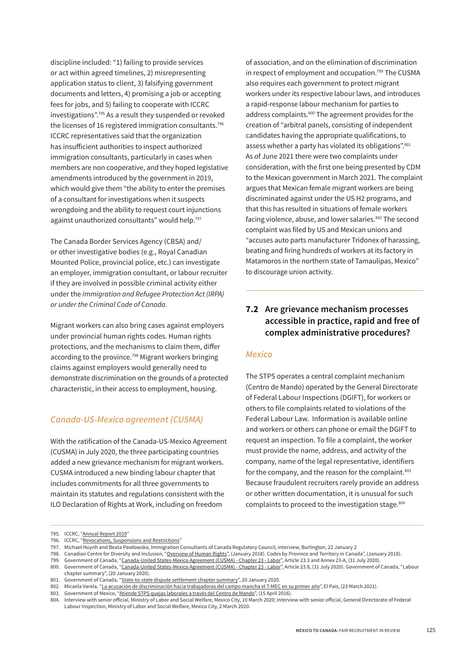<span id="page-7-0"></span>discipline included: "1) failing to provide services or act within agreed timelines, 2) misrepresenting application status to client, 3) falsifying government documents and letters, 4) promising a job or accepting fees for jobs, and 5) failing to cooperate with ICCRC investigations".795 As a result they suspended or revoked the licenses of 16 registered immigration consultants.<sup>796</sup> ICCRC representatives said that the organization has insuficient authorities to inspect authorized immigration consultants, particularly in cases when members are non cooperative, and they hoped legislative amendments introduced by the government in 2019, which would give them "the ability to enter the premises of a consultant for investigations when it suspects wrongdoing and the ability to request court injunctions against unauthorized consultants" would help.<sup>797</sup>

The Canada Border Services Agency (CBSA) and/ or other investigative bodies (e.g., Royal Canadian Mounted Police, provincial police, etc.) can investigate an employer, immigration consultant, or labour recruiter if they are involved in possible criminal activity either under the *Immigration and Refugee Protection Act (IRPA) or under the Criminal Code of Canada.*

Migrant workers can also bring cases against employers under provincial human rights codes. Human rights protections, and the mechanisms to claim them, difer according to the province.<sup>798</sup> Migrant workers bringing claims against employers would generally need to demonstrate discrimination on the grounds of a protected characteristic, in their access to employment, housing.

#### *Canada-US-Mexico agreement (CUSMA)*

With the ratification of the Canada-US-Mexico Agreement (CUSMA) in July 2020, the three participating countries added a new grievance mechanism for migrant workers. CUSMA introduced a new binding labour chapter that includes commitments for all three governments to maintain its statutes and regulations consistent with the ILO Declaration of Rights at Work, including on freedom

of association, and on the elimination of discrimination in respect of employment and occupation.<sup>799</sup> The CUSMA also requires each government to protect migrant workers under its respective labour laws, and introduces a rapid-response labour mechanism for parties to address complaints.800 The agreement provides for the creation of "arbitral panels, consisting of independent candidates having the appropriate qualifications, to assess whether a party has violated its obligations".<sup>801</sup> As of June 2021 there were two complaints under consideration, with the first one being presented by CDM to the Mexican government in March 2021. The complaint argues that Mexican female migrant workers are being discriminated against under the US H2 programs, and that this has resulted in situations of female workers facing violence, abuse, and lower salaries.<sup>802</sup> The second complaint was filed by US and Mexican unions and "accuses auto parts manufacturer Tridonex of harassing, beating and firing hundreds of workers at its factory in Matamoros in the northern state of Tamaulipas, Mexico" to discourage union activity.

#### **7.2 Are grievance mechanism processes accessible in practice, rapid and free of complex administrative procedures?**

#### *Mexico*

The STPS operates a central complaint mechanism (Centro de Mando) operated by the General Directorate of Federal Labour Inspections (DGIFT), for workers or others to file complaints related to violations of the Federal Labour Law. Information is available online and workers or others can phone or email the DGIFT to request an inspection. To file a complaint, the worker must provide the name, address, and activity of the company, name of the legal representative, identifiers for the company, and the reason for the complaint. $803$ Because fraudulent recruiters rarely provide an address or other written documentation, it is unusual for such complaints to proceed to the investigation stage.<sup>804</sup>

<sup>795.</sup> ICCRC, ["Annual Report 2019"](https://iccrc-crcic.ca/about-us/publications/annual-reports/)

<sup>796.</sup> ICCRC, ["Revocations, Suspensions and Restrictions"](https://iccrc-crcic.ca/complaints-professional-conduct/disciplinary-actions/revocations-suspensions-and-restrictions/)

<sup>797.</sup> Michael Huynh and Beata Pawlowska, Immigration Consultants of Canada Regulatory Council, interview, Burlington, 22 January 2

<sup>798.</sup> Canadian Centre for Diversity and Inclusion, "[Overview of Human Rights"](https://ccdi.ca/media/1414/20171102-publications-overview-of-hr-codes-by-province-final-en.pdf), (January 2018). Codes by Province and Territory in Canada", (January 2018).

<sup>799.</sup> Government of Canada, "[Canada-United States-Mexico Agreement \(CUSMA\) - Chapter 23 - Labor"](https://www.international.gc.ca/trade-commerce/trade-agreements-accords-commerciaux/agr-acc/cusma-aceum/text-texte/23.aspx?lang=eng), Article 23.3 and Annex 23-A, (31 July 2020).

<sup>800.</sup> Government of Canada, "[Canada-United States-Mexico Agreement \(CUSMA\) - Chapter 23 - Labor"](https://www.international.gc.ca/trade-commerce/trade-agreements-accords-commerciaux/agr-acc/cusma-aceum/text-texte/23.aspx?lang=eng), Article 23.8, (31 July 2020). Government of Canada, "Labour chapter summary", (20 January 2020).

<sup>801.</sup> Government of Canada, "[State-to-state dispute settlement chapter summary](https://www.international.gc.ca/trade-commerce/trade-agreements-accords-commerciaux/agr-acc/cusma-aceum/state-etat.aspx?lang=eng)", 20 January 2020.

<sup>802.</sup> Micaela Varela, ["La acusación de discriminación hacia trabajadoras del campo mancha el T-MEC en su primer año](https://elpais.com/mexico/2021-03-24/la-acusacion-de-discriminacion-hacia-trabajadoras-del-campo-mancha-el-t-mec-en-su-primer-ano.html)", El Pais, (23 March 2021).

<sup>803.</sup> Government of Mexico, "<u>Atiende STPS quejas laborales a través del Centro de Mando</u>", (15 April 2016).<br>804. Interview with senior official. Ministry of Labor and Social Welfare, Mexico City, 10 March 2020; Intervi

Interview with senior official, Ministry of Labor and Social Welfare, Mexico City, 10 March 2020; Interview with senior official, General Directorate of Federal Labour Inspection, Ministry of Labor and Social Welfare, Mexico City, 2 March 2020.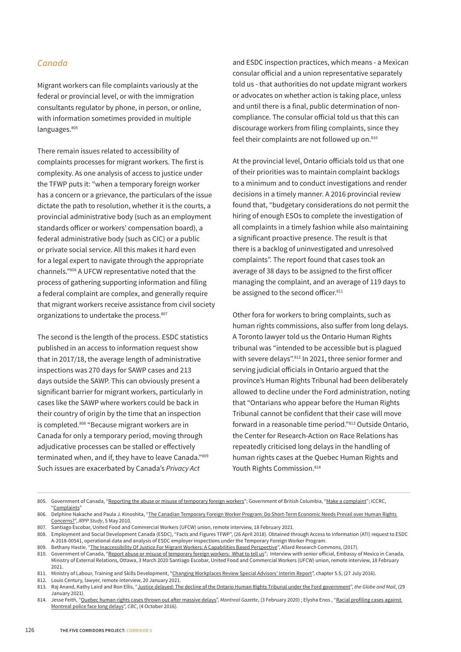#### *Canada*

Migrant workers can file complaints variously at the federal or provincial level, or with the immigration consultants regulator by phone, in person, or online, with information sometimes provided in multiple languages.<sup>805</sup>

There remain issues related to accessibility of complaints processes for migrant workers. The first is complexity. As one analysis of access to justice under the TFWP puts it: "when a temporary foreign worker has a concern or a grievance, the particulars of the issue dictate the path to resolution, whether it is the courts, a provincial administrative body (such as an employment standards oficer or workers' compensation board), a federal administrative body (such as CIC) or a public or private social service. All this makes it hard even for a legal expert to navigate through the appropriate channels."806 A UFCW representative noted that the process of gathering supporting information and filing a federal complaint are complex, and generally require that migrant workers receive assistance from civil society organizations to undertake the process.<sup>807</sup>

The second is the length of the process. ESDC statistics published in an access to information request show that in 2017/18, the average length of administrative inspections was 270 days for SAWP cases and 213 days outside the SAWP. This can obviously present a significant barrier for migrant workers, particularly in cases like the SAWP where workers could be back in their country of origin by the time that an inspection is completed.808 "Because migrant workers are in Canada for only a temporary period, moving through adjudicative processes can be stalled or efectively terminated when, and if, they have to leave Canada."809 Such issues are exacerbated by Canada's *Privacy Act*

and ESDC inspection practices, which means - a Mexican consular oficial and a union representative separately told us - that authorities do not update migrant workers or advocates on whether action is taking place, unless and until there is a final, public determination of noncompliance. The consular oficial told us that this can discourage workers from filing complaints, since they feel their complaints are not followed up on.<sup>810</sup>

At the provincial level, Ontario oficials told us that one of their priorities was to maintain complaint backlogs to a minimum and to conduct investigations and render decisions in a timely manner. A 2016 provincial review found that, "budgetary considerations do not permit the hiring of enough ESOs to complete the investigation of all complaints in a timely fashion while also maintaining a significant proactive presence. The result is that there is a backlog of uninvestigated and unresolved complaints". The report found that cases took an average of 38 days to be assigned to the first oficer managing the complaint, and an average of 119 days to be assigned to the second officer.<sup>811</sup>

Other fora for workers to bring complaints, such as human rights commissions, also suffer from long delays. A Toronto lawyer told us the Ontario Human Rights tribunal was "intended to be accessible but is plagued with severe delays".<sup>812</sup> In 2021, three senior former and serving judicial oficials in Ontario argued that the province's Human Rights Tribunal had been deliberately allowed to decline under the Ford administration, noting that "Ontarians who appear before the Human Rights Tribunal cannot be confident that their case will move forward in a reasonable time period."813 Outside Ontario, the Center for Research-Action on Race Relations has repeatedly criticised long delays in the handling of human rights cases at the Quebec Human Rights and Youth Rights Commission.<sup>814</sup>

<sup>805.</sup> Government of Canada, "[Reporting the abuse or misuse of temporary foreign workers](https://www.canada.ca/en/employment-social-development/services/foreign-workers/fraud.html)"; Government of British Columbia, "[Make a complaint](https://www2.gov.bc.ca/gov/content/employment-business/employment-standards-advice/employment-standards/complaint-process)"; ICCRC, ["Complaints"](https://iccrc-crcic.ca/complaints-professional-conduct/file-a-complaint/#File-a-Complaint)

<sup>806.</sup> Delphine Nakache and Paula J. Kinoshita, "The Canadian Temporary Foreign Worker Program: Do Short-Term Economic Needs Prevail over Human Rights [Concerns?](https://www.researchgate.net/profile/Delphine-Nakache/publication/228275688_The_Canadian_Temporary_Foreign_Worker_Program_Do_Short-Term_Economic_Needs_Prevail_Over_Human_Rights_Concerns/links/5a2af8d5a6fdccfbbf8521fd/The-Canadian-Temporary-Foreign-Worker-Program-Do-Short-Term-Economic-Needs-Prevail-Over-Human-Rights-Concerns.pdf)", *IRPP Study*, 5 May 2010.

<sup>807.</sup> Santiago Escobar, United Food and Commercial Workers (UFCW) union, remote interview, 18 February 2021.

<sup>808.</sup> Employment and Social Development Canada (ESDC), "Facts and Figures TFWP", (26 April 2018). Obtained through Access to Information (ATI) request to ESDC A-2018-00541, operational data and analysis of ESDC employer inspections under the Temporary Foreign Worker Program.

<sup>809.</sup> Bethany Hastie, "[The Inaccessibility Of Justice For Migrant Workers: A Capabilities Based Perspective](https://commons.allard.ubc.ca/cgi/viewcontent.cgi?article=1446&context=fac_pubs)", Allard Research Commons, (2017).

<sup>810.</sup> Government of Canada, "[Report abuse or misuse of temporary foreign workers: What to tell us](https://www.canada.ca/en/employment-social-development/services/foreign-workers/fraud/report-online-fraud/what-to-send.html)"; Interview with senior official, Embassy of Mexico in Canada, Ministry of External Relations, Ottawa, 3 March 2020 Santiago Escobar, United Food and Commercial Workers (UFCW) union, remote interview, 18 February 2021.

<sup>811.</sup> Ministry of Labour, Training and Skills Development, "[Changing Workplaces Review Special Advisors' Interim Report"](https://www.labour.gov.on.ca/english/about/cwr_interim/chapter_5_5.php), chapter 5.5, (27 July 2016).

<sup>812.</sup> Louis Century, lawyer, remote interview, 20 January 2021.

<sup>813.</sup> Raj Anand, Kathy Laird and Ron Ellis, "[Justice delayed: The decline of the Ontario Human Rights Tribunal under the Ford government"](https://www.theglobeandmail.com/opinion/article-justice-delayed-the-decline-of-the-ontario-human-rights-tribunal-under/), *the Globe and Mail*, (29 January 2021).

<sup>814.</sup> Jesse Feith, "[Quebec human rights cases thrown out a](https://montrealgazette.com/news/local-news/quebec-human-rights-cases-thrown-out-after-massive-delays)fer massive delays", *Montreal Gazette*, (3 February 2020) ; Elysha Enos , ["Racial profiling cases against](https://www.cbc.ca/news/canada/montreal/racial-profiling-police-montreal-1.3791488)  [Montreal police face long delays"](https://www.cbc.ca/news/canada/montreal/racial-profiling-police-montreal-1.3791488), *CBC*, (4 October 2016).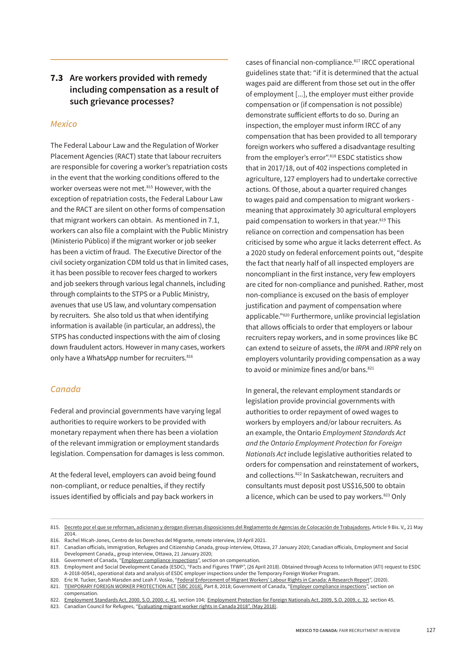#### <span id="page-9-0"></span>**7.3 Are workers provided with remedy including compensation as a result of such grievance processes?**

#### *Mexico*

The Federal Labour Law and the Regulation of Worker Placement Agencies (RACT) state that labour recruiters are responsible for covering a worker's repatriation costs in the event that the working conditions offered to the worker overseas were not met.<sup>815</sup> However, with the exception of repatriation costs, the Federal Labour Law and the RACT are silent on other forms of compensation that migrant workers can obtain. As mentioned in 7.1, workers can also file a complaint with the Public Ministry (Ministerio Público) if the migrant worker or job seeker has been a victim of fraud. The Executive Director of the civil society organization CDM told us that in limited cases, it has been possible to recover fees charged to workers and job seekers through various legal channels, including through complaints to the STPS or a Public Ministry, avenues that use US law, and voluntary compensation by recruiters. She also told us that when identifying information is available (in particular, an address), the STPS has conducted inspections with the aim of closing down fraudulent actors. However in many cases, workers only have a WhatsApp number for recruiters. 816

#### *Canada*

Federal and provincial governments have varying legal authorities to require workers to be provided with monetary repayment when there has been a violation of the relevant immigration or employment standards legislation. Compensation for damages is less common.

At the federal level, employers can avoid being found non-compliant, or reduce penalties, if they rectify issues identified by oficials and pay back workers in

cases of financial non-compliance.<sup>817</sup> IRCC operational guidelines state that: "if it is determined that the actual wages paid are different from those set out in the offer of employment [...], the employer must either provide compensation or (if compensation is not possible) demonstrate suficient eforts to do so. During an inspection, the employer must inform IRCC of any compensation that has been provided to all temporary foreign workers who suffered a disadvantage resulting from the employer's error".<sup>818</sup> ESDC statistics show that in 2017/18, out of 402 inspections completed in agriculture, 127 employers had to undertake corrective actions. Of those, about a quarter required changes to wages paid and compensation to migrant workers meaning that approximately 30 agricultural employers paid compensation to workers in that year.<sup>819</sup> This reliance on correction and compensation has been criticised by some who argue it lacks deterrent efect. As a 2020 study on federal enforcement points out, "despite the fact that nearly half of all inspected employers are noncompliant in the first instance, very few employers are cited for non-compliance and punished. Rather, most non-compliance is excused on the basis of employer justification and payment of compensation where applicable."820 Furthermore, unlike provincial legislation that allows oficials to order that employers or labour recruiters repay workers, and in some provinces like BC can extend to seizure of assets, the *IRPA* and *IRPR* rely on employers voluntarily providing compensation as a way to avoid or minimize fines and/or bans.<sup>821</sup>

In general, the relevant employment standards or legislation provide provincial governments with authorities to order repayment of owed wages to workers by employers and/or labour recruiters. As an example, the Ontario *Employment Standards Act and the Ontario Employment Protection for Foreign Nationals Act* include legislative authorities related to orders for compensation and reinstatement of workers, and collections.822 In Saskatchewan, recruiters and consultants must deposit post US\$16,500 to obtain a licence, which can be used to pay workers.<sup>823</sup> Only

<sup>815.</sup> [Decreto por el que se reforman, adicionan y derogan diversas disposiciones del Reglamento de Agencias de Colocación de Trabajadores,](https://www.dof.gob.mx/nota_detalle.php?codigo=5345536&fecha=21/05/2014) Article 9 Bis. V,, 21 May 2014.

<sup>816.</sup> Rachel Micah-Jones, Centro de los Derechos del Migrante, remote interview, 19 April 2021.

<sup>817.</sup> Canadian oficials, Immigration, Refugees and Citizenship Canada, group interview, Ottawa, 27 January 2020; Canadian oficials, Employment and Social Development Canada,, group interview, Ottawa, 21 January 2020;

<sup>818.</sup> Government of Canada, "[Employer compliance inspections](https://www.canada.ca/en/immigration-refugees-citizenship/corporate/publications-manuals/operational-bulletins-manuals/temporary-residents/foreign-workers/work-without-permit/employer-compliance-inspections.html#decision-making)", section on compensation.

<sup>819.</sup> Employment and Social Development Canada (ESDC), "Facts and Figures TFWP", (26 April 2018). Obtained through Access to Information (ATI) request to ESDC A-2018-00541, operational data and analysis of ESDC employer inspections under the Temporary Foreign Worker Program.

<sup>820.</sup> Eric M. Tucker, Sarah Marsden and Leah F. Vosko, ["Federal Enforcement of Migrant Workers' Labour Rights in Canada: A Research Report](https://digitalcommons.osgoode.yorku.ca/cgi/viewcontent.cgi?article=3794&context=scholarly_works)", (2020).

<sup>821.</sup> [TEMPORARY FOREIGN WORKER PROTECTION ACT](https://www.bclaws.gov.bc.ca/civix/document/id/complete/statreg/18045) [\[SBC 2018\],](https://www.bclaws.gov.bc.ca/civix/document/id/complete/statreg/18045) Part 8, 2018; Government of Canada, "[Employer compliance inspections](https://www.canada.ca/en/immigration-refugees-citizenship/corporate/publications-manuals/operational-bulletins-manuals/temporary-residents/foreign-workers/work-without-permit/employer-compliance-inspections.html#decision-making)", section on compensation.

<sup>822.</sup> [Employment Standards Act, 2000, S.O. 2000, c. 41](https://www.ontario.ca/laws/statute/00e41?_ga=2.46471847.1898988723.1602646534-1455298030.1573707488#BK212), section 104; [Employment Protection for Foreign Nationals Act, 2009, S.O. 2009, c. 32](https://www.ontario.ca/laws/statute/09e32?_ga=2.214349335.1898988723.1602646534-1455298030.1573707488#BK46), section 45.

<sup>823.</sup> Canadian Council for Refugees, ["Evaluating migrant worker rights in Canada 2018", \(May 2018\).](https://ccrweb.ca/sites/ccrweb.ca/files/reportcards_complete_en.pdf)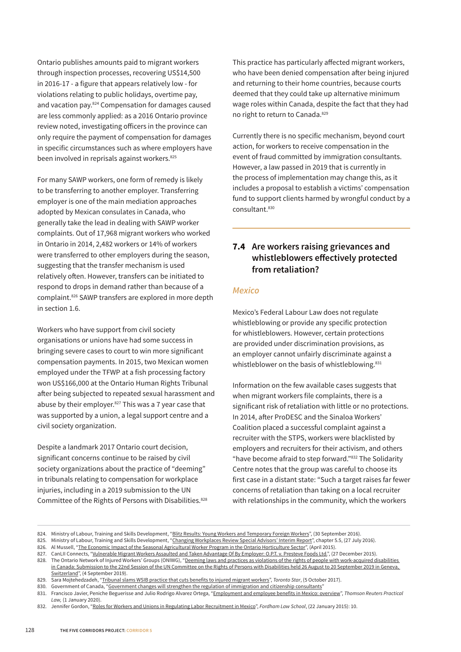<span id="page-10-0"></span>Ontario publishes amounts paid to migrant workers through inspection processes, recovering US\$14,500 in 2016-17 - a figure that appears relatively low - for violations relating to public holidays, overtime pay, and vacation pay.824 Compensation for damages caused are less commonly applied: as a 2016 Ontario province review noted, investigating oficers in the province can only require the payment of compensation for damages in specific circumstances such as where employers have been involved in reprisals against workers.<sup>825</sup>

For many SAWP workers, one form of remedy is likely to be transferring to another employer. Transferring employer is one of the main mediation approaches adopted by Mexican consulates in Canada, who generally take the lead in dealing with SAWP worker complaints. Out of 17,968 migrant workers who worked in Ontario in 2014, 2,482 workers or 14% of workers were transferred to other employers during the season, suggesting that the transfer mechanism is used relatively often. However, transfers can be initiated to respond to drops in demand rather than because of a complaint.826 SAWP transfers are explored in more depth in section 1.6.

Workers who have support from civil society organisations or unions have had some success in bringing severe cases to court to win more significant compensation payments. In 2015, two Mexican women employed under the TFWP at a fish processing factory won US\$166,000 at the Ontario Human Rights Tribunal after being subjected to repeated sexual harassment and abuse by their employer.<sup>827</sup> This was a 7 year case that was supported by a union, a legal support centre and a civil society organization.

Despite a landmark 2017 Ontario court decision, significant concerns continue to be raised by civil society organizations about the practice of "deeming" in tribunals relating to compensation for workplace injuries, including in a 2019 submission to the UN Committee of the Rights of Persons with Disabilities.<sup>828</sup> This practice has particularly afected migrant workers, who have been denied compensation after being injured and returning to their home countries, because courts deemed that they could take up alternative minimum wage roles within Canada, despite the fact that they had no right to return to Canada.829

Currently there is no specific mechanism, beyond court action, for workers to receive compensation in the event of fraud committed by immigration consultants. However, a law passed in 2019 that is currently in the process of implementation may change this, as it includes a proposal to establish a victims' compensation fund to support clients harmed by wrongful conduct by a consultant<sup>830</sup>

#### **7.4 Are workers raising grievances and whistleblowers efectively protected from retaliation?**

#### *Mexico*

Mexico's Federal Labour Law does not regulate whistleblowing or provide any specific protection for whistleblowers. However, certain protections are provided under discrimination provisions, as an employer cannot unfairly discriminate against a whistleblower on the basis of whistleblowing.<sup>831</sup>

Information on the few available cases suggests that when migrant workers file complaints, there is a significant risk of retaliation with little or no protections. In 2014, after ProDESC and the Sinaloa Workers' Coalition placed a successful complaint against a recruiter with the STPS, workers were blacklisted by employers and recruiters for their activism, and others "have become afraid to step forward."832 The Solidarity Centre notes that the group was careful to choose its first case in a distant state: "Such a target raises far fewer concerns of retaliation than taking on a local recruiter with relationships in the community, which the workers

<sup>824.</sup> Ministry of Labour, Training and Skills Development, "[Blitz Results: Young Workers and Temporary Foreign Workers](https://www.labour.gov.on.ca/english/es/inspections/blitzresults_ywtfw.php)", (30 September 2016).

<sup>825.</sup> Ministry of Labour, Training and Skills Development, "[Changing Workplaces Review Special Advisors' Interim Report"](https://www.labour.gov.on.ca/english/about/cwr_interim/chapter_5_5.php), chapter 5.5, (27 July 2016).

<sup>826.</sup> Al Mussell, ["The Economic Impact of the Seasonal Agricultural Worker Program in the Ontario Horticulture Sector](https://cahrc-ccrha.ca/sites/default/files/2015-04-EconomicImpactSAWPHorticulture-Apr-15.pdf)", (April 2015).

<sup>827.</sup> CanLII Connects, "[Vulnerable Migrant Workers Assaulted and Taken Advantage Of By Employer: O.P.T. v. Presteve Foods Ltd."](https://canliiconnects.org/en/summaries/39654), (27 December 2015).

<sup>828.</sup> The Ontario Network of Injured Workers' Groups (ONIWG), "Deeming laws and practices as violations of the rights of people with work-acquired disabilities in Canada: Submission to the 22nd Session of the UN Committee on the Rights of Persons with Disabilities held 26 August to 20 September 2019 in Geneva, [Switzerland"](https://tbinternet.ohchr.org/_layouts/15/treatybodyexternal/Download.aspx?symbolno=INT%2fCRPD%2fICS%2fCAN%2f35841&Lang=en), (4 September 2019).

<sup>829.</sup> Sara Mojtehedzadeh, ["Tribunal slams WSIB practice that cuts benefits to injured migrant workers"](https://www.thestar.com/news/gta/2017/10/05/tribunal-slams-wsib-practice-that-cuts-benefits-to-injured-migrant-workers.html), *Toronto Star*, (5 October 2017).

<sup>830.</sup> Government of Canada, "Government changes will strengthen the regulation of immigration and citizenship consultants'

<sup>831.</sup> Francisco Javier, Peniche Beguerisse and Julio Rodrigo Alvarez Ortega, ["Employment and employee benefits in Mexico: overview"](https://uk.practicallaw.thomsonreuters.com/Cosi/SignOn?redirectTo=%2f3-502-9997%3ftransitionType%3dDefault%26contextData%3d(sc.Default)%26firstPage%3dtrue#co_anchor_a456680), *Thomson Reuters Practical Law,* (1 January 2020).

<sup>832.</sup> Jennifer Gordon, "[Roles for Workers and Unions in Regulating Labor Recruitment in Mexico](https://www.solidaritycenter.org/wp-content/uploads/2015/05/Migration.Roles-for-Workers-and-Unions-in-Regulating-labor-Recruitment-in-Mexico.Jennifer-Gordon-Fordham.5.15.pdf)", *Fordham Law School*, (22 January 2015): 10.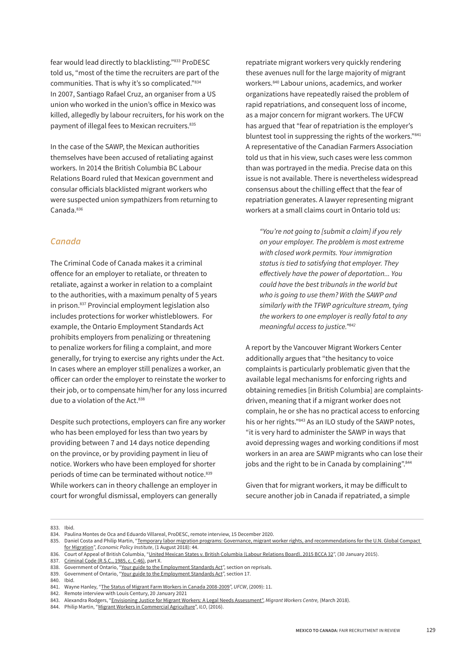fear would lead directly to blacklisting."833 ProDESC told us, "most of the time the recruiters are part of the communities. That is why it's so complicated."834 In 2007, Santiago Rafael Cruz, an organiser from a US union who worked in the union's ofice in Mexico was killed, allegedly by labour recruiters, for his work on the payment of illegal fees to Mexican recruiters.<sup>835</sup>

In the case of the SAWP, the Mexican authorities themselves have been accused of retaliating against workers. In 2014 the British Columbia BC Labour Relations Board ruled that Mexican government and consular oficials blacklisted migrant workers who were suspected union sympathizers from returning to Canada.836

#### *Canada*

The Criminal Code of Canada makes it a criminal ofence for an employer to retaliate, or threaten to retaliate, against a worker in relation to a complaint to the authorities, with a maximum penalty of 5 years in prison.837 Provincial employment legislation also includes protections for worker whistleblowers. For example, the Ontario Employment Standards Act prohibits employers from penalizing or threatening to penalize workers for filing a complaint, and more generally, for trying to exercise any rights under the Act. In cases where an employer still penalizes a worker, an oficer can order the employer to reinstate the worker to their job, or to compensate him/her for any loss incurred due to a violation of the Act.<sup>838</sup>

Despite such protections, employers can fire any worker who has been employed for less than two years by providing between 7 and 14 days notice depending on the province, or by providing payment in lieu of notice. Workers who have been employed for shorter periods of time can be terminated without notice.<sup>839</sup> While workers can in theory challenge an employer in court for wrongful dismissal, employers can generally

repatriate migrant workers very quickly rendering these avenues null for the large majority of migrant workers.840 Labour unions, academics, and worker organizations have repeatedly raised the problem of rapid repatriations, and consequent loss of income, as a major concern for migrant workers. The UFCW has argued that "fear of repatriation is the employer's bluntest tool in suppressing the rights of the workers."841 A representative of the Canadian Farmers Association told us that in his view, such cases were less common than was portrayed in the media. Precise data on this issue is not available. There is nevertheless widespread consensus about the chilling efect that the fear of repatriation generates. A lawyer representing migrant workers at a small claims court in Ontario told us:

*"You're not going to [submit a claim] if you rely on your employer. The problem is most extreme with closed work permits. Your immigration status is tied to satisfying that employer. They e*f*ectively have the power of deportation... You could have the best tribunals in the world but who is going to use them? With the SAWP and similarly with the TFWP agriculture stream, tying the workers to one employer is really fatal to any meaningful access to justice."842*

A report by the Vancouver Migrant Workers Center additionally argues that "the hesitancy to voice complaints is particularly problematic given that the available legal mechanisms for enforcing rights and obtaining remedies [in British Columbia] are complaintsdriven, meaning that if a migrant worker does not complain, he or she has no practical access to enforcing his or her rights."843 As an ILO study of the SAWP notes, "it is very hard to administer the SAWP in ways that avoid depressing wages and working conditions if most workers in an area are SAWP migrants who can lose their jobs and the right to be in Canada by complaining".<sup>844</sup>

Given that for migrant workers, it may be dificult to secure another job in Canada if repatriated, a simple

840. Ibid.

<sup>833.</sup> Ibid.

<sup>834.</sup> Paulina Montes de Oca and Eduardo Villareal, ProDESC, remote interview, 15 December 2020.

<sup>835.</sup> Daniel Costa and Philip Martin, "Temporary labor migration programs: Governance, migrant worker rights, and recommendations for the U.N. Global Compact [for Migration"](https://files.epi.org/pdf/152373.pdf), *Economic Policy Institute*, (1 August 2018): 44.

<sup>836.</sup> Court of Appeal of British Columbia, ["United Mexican States v. British Columbia \(Labour Relations Board\), 2015 BCCA 32"](https://www.canlii.org/en/bc/bcca/doc/2015/2015bcca32/2015bcca32.pdf), (30 January 2015).

<sup>837.</sup> [Criminal Code \(R.S.C., 1985, c. C-46\),](https://laws-lois.justice.gc.ca/eng/acts/C-46/page-89.html) part X.

<sup>838.</sup> Government of Ontario, "[Your guide to the Employment Standards Act"](https://www.ontario.ca/document/your-guide-employment-standards-act-0/reprisals), section on reprisals.

<sup>839.</sup> Government of Ontario, "[Your guide to the Employment Standards Act"](https://www.ontario.ca/document/your-guide-employment-standards-act-0/termination-employment#section-17), section 17.

<sup>841.</sup> Wayne Hanley, "[The Status of Migrant Farm Workers in Canada 2008-2009"](http://www.ufcw.ca/Theme/UFCW/files/PDF%202009/2009ReportEN.pdf), *UFCW*, (2009): 11.

<sup>842.</sup> Remote interview with Louis Century, 20 January 2021

<sup>843.</sup> Alexandra Rodgers, "[Envisioning Justice for Migrant Workers: A Legal Needs Assessment",](https://mwcbc.ca/downloads/MWC_Envisioning_Justice_for_Migrant_Workers_Report.pdf) *Migrant Workers Centre,* (March 2018).

<sup>844.</sup> Philip Martin, "[Migrant Workers in Commercial Agriculture"](https://www.ilo.org/wcmsp5/groups/public/---ed_protect/---protrav/---migrant/documents/publication/wcms_538710.pdf), *ILO*, (2016).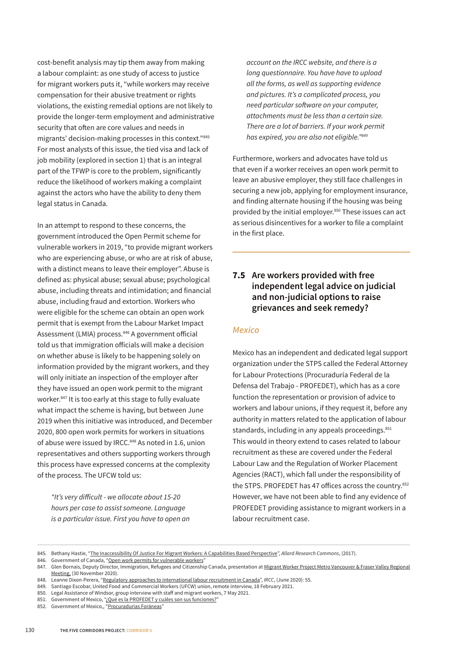<span id="page-12-0"></span>cost-benefit analysis may tip them away from making a labour complaint: as one study of access to justice for migrant workers puts it, "while workers may receive compensation for their abusive treatment or rights violations, the existing remedial options are not likely to provide the longer-term employment and administrative security that often are core values and needs in migrants' decision-making processes in this context."845 For most analysts of this issue, the tied visa and lack of job mobility (explored in section 1) that is an integral part of the TFWP is core to the problem, significantly reduce the likelihood of workers making a complaint against the actors who have the ability to deny them legal status in Canada.

In an attempt to respond to these concerns, the government introduced the Open Permit scheme for vulnerable workers in 2019, "to provide migrant workers who are experiencing abuse, or who are at risk of abuse, with a distinct means to leave their employer". Abuse is defined as: physical abuse; sexual abuse; psychological abuse, including threats and intimidation; and financial abuse, including fraud and extortion. Workers who were eligible for the scheme can obtain an open work permit that is exempt from the Labour Market Impact Assessment (LMIA) process.<sup>846</sup> A government official told us that immigration oficials will make a decision on whether abuse is likely to be happening solely on information provided by the migrant workers, and they will only initiate an inspection of the employer after they have issued an open work permit to the migrant worker.847 It is too early at this stage to fully evaluate what impact the scheme is having, but between June 2019 when this initiative was introduced, and December 2020, 800 open work permits for workers in situations of abuse were issued by IRCC.<sup>848</sup> As noted in 1.6, union representatives and others supporting workers through this process have expressed concerns at the complexity of the process. The UFCW told us:

*"It's very di*f*icult - we allocate about 15-20 hours per case to assist someone. Language is a particular issue. First you have to open an* 

*account on the IRCC website, and there is a long questionnaire. You have have to upload all the forms, as well as supporting evidence and pictures. It's a complicated process, you need particular so*f*ware on your computer, attachments must be less than a certain size. There are a lot of barriers. If your work permit has expired, you are also not eligible."849*

Furthermore, workers and advocates have told us that even if a worker receives an open work permit to leave an abusive employer, they still face challenges in securing a new job, applying for employment insurance, and finding alternate housing if the housing was being provided by the initial employer.<sup>850</sup> These issues can act as serious disincentives for a worker to file a complaint in the first place.

#### **7.5 Are workers provided with free independent legal advice on judicial and non-judicial options to raise grievances and seek remedy?**

#### *Mexico*

Mexico has an independent and dedicated legal support organization under the STPS called the Federal Attorney for Labour Protections (Procuraduría Federal de la Defensa del Trabajo - PROFEDET), which has as a core function the representation or provision of advice to workers and labour unions, if they request it, before any authority in matters related to the application of labour standards, including in any appeals proceedings.<sup>851</sup> This would in theory extend to cases related to labour recruitment as these are covered under the Federal Labour Law and the Regulation of Worker Placement Agencies (RACT), which fall under the responsibility of the STPS. PROFEDET has 47 offices across the country.<sup>852</sup> However, we have not been able to find any evidence of PROFEDET providing assistance to migrant workers in a labour recruitment case.

<sup>845.</sup> Bethany Hastie, "[The Inaccessibility Of Justice For Migrant Workers: A Capabilities Based Perspective](https://commons.allard.ubc.ca/cgi/viewcontent.cgi?article=1446&context=fac_pubs)", *Allard Research Commons*, (2017).

<sup>846.</sup> Government of Canada, "[Open work permits for vulnerable workers"](https://www.canada.ca/en/immigration-refugees-citizenship/corporate/publications-manuals/operational-bulletins-manuals/temporary-residents/foreign-workers/vulnerable-workers.html)

<sup>847.</sup> Glen Bornais, Deputy Director, Immigration, Refugees and Citizenship Canada, presentation at Migrant Worker Project Metro Vancouver & Fraser Valley Regional [Meeting,](https://www.youtube.com/watch?v=kLrknePd-C0) (30 November 2020).

<sup>848.</sup> Leanne Dixon-Perera, "[Regulatory approaches to international labour recruitment in Canada"](https://www.canada.ca/content/dam/ircc/documents/pdf/english/corporate/reports-statistics/evaluations/R39-2019%20Approach_LabourRec.pdf), *IRCC*, (June 2020): 55.

<sup>849.</sup> Santiago Escobar, United Food and Commercial Workers (UFCW) union, remote interview, 18 February 2021.

<sup>850.</sup> Legal Assistance of Windsor, group interview with staff and migrant workers, 7 May 2021.

<sup>851.</sup> Government of Mexico, ["¿Qué es la PROFEDET y cuáles son sus funciones?"](https://www.gob.mx/profedet#1946)

<sup>852.</sup> Government of Mexico,, ["Procuradurías Foráneas"](https://www.gob.mx/profedet/acciones-y-programas/procuradurias-foraneas-237363)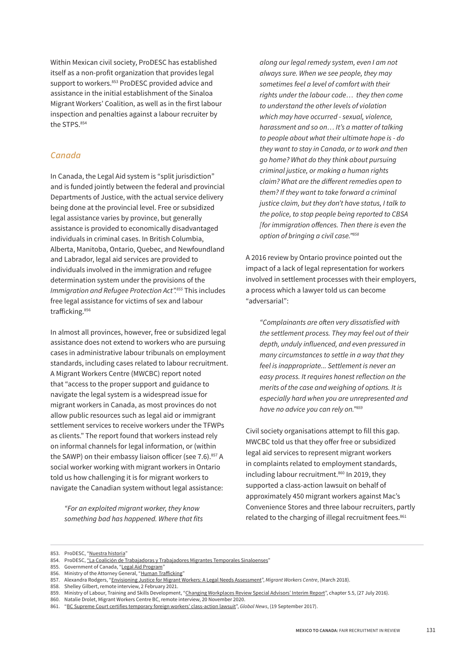Within Mexican civil society, ProDESC has established itself as a non-profit organization that provides legal support to workers.<sup>853</sup> ProDESC provided advice and assistance in the initial establishment of the Sinaloa Migrant Workers' Coalition, as well as in the first labour inspection and penalties against a labour recruiter by the STPS.854

#### *Canada*

In Canada, the Legal Aid system is "split jurisdiction" and is funded jointly between the federal and provincial Departments of Justice, with the actual service delivery being done at the provincial level. Free or subsidized legal assistance varies by province, but generally assistance is provided to economically disadvantaged individuals in criminal cases. In British Columbia, Alberta, Manitoba, Ontario, Quebec, and Newfoundland and Labrador, legal aid services are provided to individuals involved in the immigration and refugee determination system under the provisions of the *Immigration and Refugee Protection Act".855* This includes free legal assistance for victims of sex and labour trafficking.<sup>856</sup>

In almost all provinces, however, free or subsidized legal assistance does not extend to workers who are pursuing cases in administrative labour tribunals on employment standards, including cases related to labour recruitment. A Migrant Workers Centre (MWCBC) report noted that "access to the proper support and guidance to navigate the legal system is a widespread issue for migrant workers in Canada, as most provinces do not allow public resources such as legal aid or immigrant settlement services to receive workers under the TFWPs as clients." The report found that workers instead rely on informal channels for legal information, or (within the SAWP) on their embassy liaison officer (see 7.6).<sup>857</sup> A social worker working with migrant workers in Ontario told us how challenging it is for migrant workers to navigate the Canadian system without legal assistance:

*"For an exploited migrant worker, they know something bad has happened. Where that fits*  *along our legal remedy system, even I am not always sure. When we see people, they may sometimes feel a level of comfort with their rights under the labour code… they then come to understand the other levels of violation which may have occurred - sexual, violence, harassment and so on… It's a matter of talking to people about what their ultimate hope is - do they want to stay in Canada, or to work and then go home? What do they think about pursuing criminal justice, or making a human rights claim? What are the di*f*erent remedies open to them? If they want to take forward a criminal justice claim, but they don't have status, I talk to the police, to stop people being reported to CBSA [for immigration o*f*ences. Then there is even the option of bringing a civil case."858*

A 2016 review by Ontario province pointed out the impact of a lack of legal representation for workers involved in settlement processes with their employers, a process which a lawyer told us can become "adversarial":

*"Complainants are o*f*en very dissatisfied with the settlement process. They may feel out of their depth, unduly influenced, and even pressured in many circumstances to settle in a way that they feel is inappropriate... Settlement is never an easy process. It requires honest reflection on the merits of the case and weighing of options. It is especially hard when you are unrepresented and have no advice you can rely on."859*

Civil society organisations attempt to fill this gap. MWCBC told us that they offer free or subsidized legal aid services to represent migrant workers in complaints related to employment standards, including labour recruitment.<sup>860</sup> In 2019, they supported a class-action lawsuit on behalf of approximately 450 migrant workers against Mac's Convenience Stores and three labour recruiters, partly related to the charging of illegal recruitment fees.<sup>861</sup>

<sup>853.</sup> ProDESC, ["Nuestra historia"](https://prodesc.org.mx/sobre-nosotros/)

<sup>854.</sup> ProDESC, ["La Coalición de Trabajadoras y Trabajadores Migrantes Temporales Sinaloenses](https://prodesc.org.mx/coalicion-de-trabajadoras-y-trabajadores-migrantes-temporales-sinaloenses/)"

<sup>855.</sup> Government of Canada, "[Legal Aid Program](https://www.justice.gc.ca/eng/fund-fina/gov-gouv/aid-aide.html)"

<sup>856.</sup> Ministry of the Attorney General, "[Human Tra](https://www.attorneygeneral.jus.gov.on.ca/english/ovss/human_trafficking.php)fficking"

<sup>857.</sup> Alexandra Rodgers, "[Envisioning Justice for Migrant Workers: A Legal Needs Assessment"](https://mwcbc.ca/downloads/MWC_Envisioning_Justice_for_Migrant_Workers_Report.pdf), *Migrant Workers Centre*, (March 2018).

<sup>858.</sup> Shelley Gilbert, remote interview, 2 February 2021.

<sup>859.</sup> Ministry of Labour, Training and Skills Development, "[Changing Workplaces Review Special Advisors' Interim Report"](https://www.labour.gov.on.ca/english/about/cwr_interim/chapter_5_5.php), chapter 5.5, (27 July 2016).

<sup>860.</sup> Natalie Drolet, Migrant Workers Centre BC, remote interview, 20 November 2020.

<sup>861.</sup> ["BC Supreme Court certifies temporary foreign workers' class-action lawsuit"](https://globalnews.ca/news/3756018/bc-supreme-court-certifies-temporary-foreign-workers-class-action-lawsuit/), *Global News*, (19 September 2017).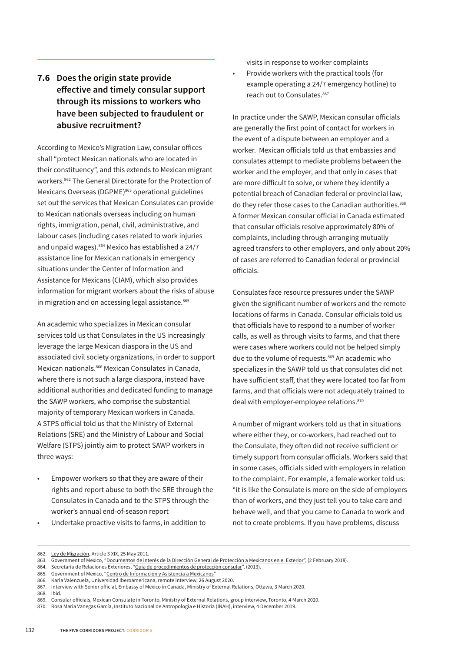#### <span id="page-14-0"></span>**7.6 Does the origin state provide efective and timely consular support through its missions to workers who have been subjected to fraudulent or abusive recruitment?**

According to Mexico's Migration Law, consular ofices shall "protect Mexican nationals who are located in their constituency", and this extends to Mexican migrant workers.862 The General Directorate for the Protection of Mexicans Overseas (DGPME)<sup>863</sup> operational guidelines set out the services that Mexican Consulates can provide to Mexican nationals overseas including on human rights, immigration, penal, civil, administrative, and labour cases (including cases related to work injuries and unpaid wages).<sup>864</sup> Mexico has established a 24/7 assistance line for Mexican nationals in emergency situations under the Center of Information and Assistance for Mexicans (CIAM), which also provides information for migrant workers about the risks of abuse in migration and on accessing legal assistance.<sup>865</sup>

An academic who specializes in Mexican consular services told us that Consulates in the US increasingly leverage the large Mexican diaspora in the US and associated civil society organizations, in order to support Mexican nationals.866 Mexican Consulates in Canada, where there is not such a large diaspora, instead have additional authorities and dedicated funding to manage the SAWP workers, who comprise the substantial majority of temporary Mexican workers in Canada. A STPS oficial told us that the Ministry of External Relations (SRE) and the Ministry of Labour and Social Welfare (STPS) jointly aim to protect SAWP workers in three ways:

- Empower workers so that they are aware of their rights and report abuse to both the SRE through the Consulates in Canada and to the STPS through the worker's annual end-of-season report
- Undertake proactive visits to farms, in addition to

visits in response to worker complaints

• Provide workers with the practical tools (for example operating a 24/7 emergency hotline) to reach out to Consulates.<sup>867</sup>

In practice under the SAWP, Mexican consular oficials are generally the first point of contact for workers in the event of a dispute between an employer and a worker. Mexican oficials told us that embassies and consulates attempt to mediate problems between the worker and the employer, and that only in cases that are more dificult to solve, or where they identify a potential breach of Canadian federal or provincial law, do they refer those cases to the Canadian authorities.<sup>868</sup> A former Mexican consular oficial in Canada estimated that consular oficials resolve approximately 80% of complaints, including through arranging mutually agreed transfers to other employers, and only about 20% of cases are referred to Canadian federal or provincial oficials.

Consulates face resource pressures under the SAWP given the significant number of workers and the remote locations of farms in Canada. Consular oficials told us that oficials have to respond to a number of worker calls, as well as through visits to farms, and that there were cases where workers could not be helped simply due to the volume of requests.<sup>869</sup> An academic who specializes in the SAWP told us that consulates did not have suficient staf, that they were located too far from farms, and that oficials were not adequately trained to deal with employer-employee relations.<sup>870</sup>

A number of migrant workers told us that in situations where either they, or co-workers, had reached out to the Consulate, they often did not receive sufficient or timely support from consular oficials. Workers said that in some cases, oficials sided with employers in relation to the complaint. For example, a female worker told us: "it is like the Consulate is more on the side of employers than of workers, and they just tell you to take care and behave well, and that you came to Canada to work and not to create problems. If you have problems, discuss

866. Karla Valenzuela, Universidad Iberoamericana, remote interview, 26 August 2020.

<sup>862.</sup> [Ley de Migración](http://www.diputados.gob.mx/LeyesBiblio/ref/lmigra/LMigra_orig_25may11.pdf), Article 3 XIX, 25 May 2011.

<sup>863.</sup> Government of Mexico, "[Documentos de interés de la Dirección General de Protección a Mexicanos en el Exterior"](https://www.gob.mx/sre/documentos/documentos-de-interes-de-la-direccion-general-de-proteccion-a-mexicanos-en-el-exterior?state=published), (2 February 2018).

<sup>864.</sup> Secretaria de Relaciones Exteriores, "[Guía de procedimientos de protección consular](https://www.gob.mx/cms/uploads/attachment/file/109345/Gu_a_de_Procedimientos_de_Protecci_n_Consular.pdf)", (2013).

<sup>865.</sup> Government of Mexico, "[Centro de Información y Asistencia a Mexicanos"](https://www.gob.mx/ciam)

<sup>867.</sup> Interview with Senior oficial, Embassy of Mexico in Canada, Ministry of External Relations, Ottawa, 3 March 2020.

<sup>868.</sup> Ibid.

<sup>869.</sup> Consular oficials, Mexican Consulate in Toronto, Ministry of External Relations, group interview, Toronto, 4 March 2020.

<sup>870.</sup> Rosa María Vanegas García, Instituto Nacional de Antropología e Historia (INAH), interview, 4 December 2019.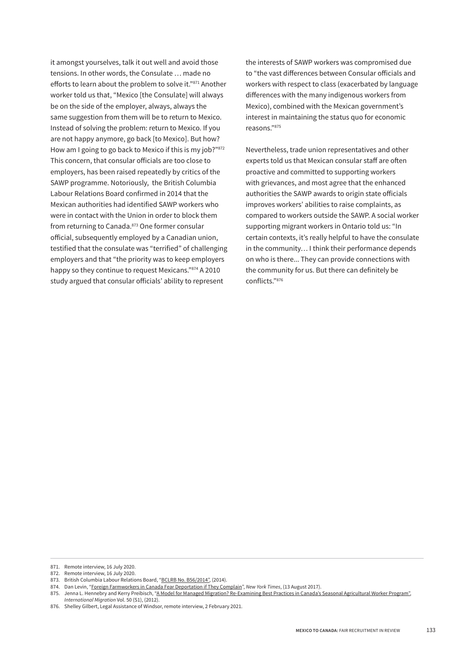it amongst yourselves, talk it out well and avoid those tensions. In other words, the Consulate … made no efforts to learn about the problem to solve it."871 Another worker told us that, "Mexico [the Consulate] will always be on the side of the employer, always, always the same suggestion from them will be to return to Mexico. Instead of solving the problem: return to Mexico. If you are not happy anymore, go back [to Mexico]. But how? How am I going to go back to Mexico if this is my job?"872 This concern, that consular oficials are too close to employers, has been raised repeatedly by critics of the SAWP programme. Notoriously, the British Columbia Labour Relations Board confirmed in 2014 that the Mexican authorities had identified SAWP workers who were in contact with the Union in order to block them from returning to Canada.<sup>873</sup> One former consular oficial, subsequently employed by a Canadian union, testified that the consulate was "terrified" of challenging employers and that "the priority was to keep employers happy so they continue to request Mexicans."874 A 2010 study argued that consular oficials' ability to represent

the interests of SAWP workers was compromised due to "the vast diferences between Consular oficials and workers with respect to class (exacerbated by language diferences with the many indigenous workers from Mexico), combined with the Mexican government's interest in maintaining the status quo for economic reasons."875

Nevertheless, trade union representatives and other experts told us that Mexican consular staff are often proactive and committed to supporting workers with grievances, and most agree that the enhanced authorities the SAWP awards to origin state oficials improves workers' abilities to raise complaints, as compared to workers outside the SAWP. A social worker supporting migrant workers in Ontario told us: "In certain contexts, it's really helpful to have the consulate in the community… I think their performance depends on who is there... They can provide connections with the community for us. But there can definitely be conflicts."876

<sup>871.</sup> Remote interview, 16 July 2020.

<sup>872.</sup> Remote interview, 16 July 2020.

<sup>873.</sup> British Columbia Labour Relations Board, ["BCLRB No. B56/2014",](http://s3.amazonaws.com/migrants_heroku_production/datas/1509/2014canlii12415_original.pdf?1396367837) (2014).

<sup>874.</sup> Dan Levin, ["Foreign Farmworkers in Canada Fear Deportation if They Complain"](https://www.nytimes.com/2017/08/13/world/canada/canada-migrants-temporary-farmworkers-program.html), *New York Times*, (13 August 2017).

<sup>875.</sup> Jenna L. Hennebry and Kerry Preibisch, ["A Model for Managed Migration? Re-Examining Best Practices in Canada's Seasonal Agricultural Worker Program",](https://www.ids.ac.uk/download.php?file=files/dmfile/AModelforManagedMigration.pdf)

*International Migration* Vol. 50 (S1), (2012).

<sup>876.</sup> Shelley Gilbert, Legal Assistance of Windsor, remote interview, 2 February 2021.